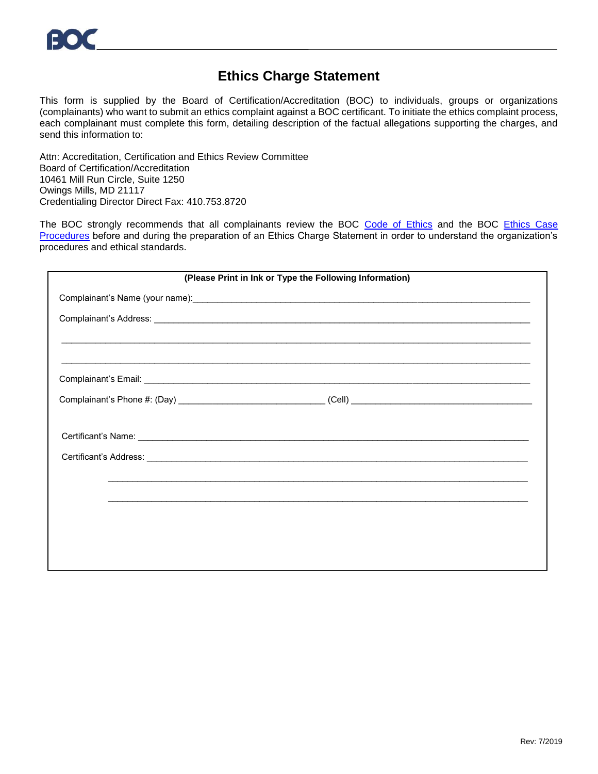## **Ethics Charge Statement**

This form is supplied by the Board of Certification/Accreditation (BOC) to individuals, groups or organizations (complainants) who want to submit an ethics complaint against a BOC certificant. To initiate the ethics complaint process, each complainant must complete this form, detailing description of the factual allegations supporting the charges, and send this information to:

Attn: Accreditation, Certification and Ethics Review Committee Board of Certification/Accreditation 10461 Mill Run Circle, Suite 1250 Owings Mills, MD 21117 Credentialing Director Direct Fax: 410.753.8720

The BOC strongly recommends that all complainants review the BOC [Code of Ethics](https://www.bocusa.org/document_categories/certification/) and the BOC Ethics Case [Procedures](https://www.bocusa.org/document_categories/certification/) before and during the preparation of an Ethics Charge Statement in order to understand the organization's procedures and ethical standards.

| (Please Print in Ink or Type the Following Information) |                                                                                  |  |
|---------------------------------------------------------|----------------------------------------------------------------------------------|--|
|                                                         |                                                                                  |  |
|                                                         |                                                                                  |  |
|                                                         |                                                                                  |  |
|                                                         |                                                                                  |  |
|                                                         |                                                                                  |  |
|                                                         |                                                                                  |  |
|                                                         |                                                                                  |  |
|                                                         | ,我们也不能会在这里,我们也不能会在这里,我们也不能会在这里,我们也不能会在这里,我们也不能会在这里,我们也不能会在这里,我们也不能会不能会不能会。""我们,我 |  |
|                                                         |                                                                                  |  |
|                                                         |                                                                                  |  |
|                                                         |                                                                                  |  |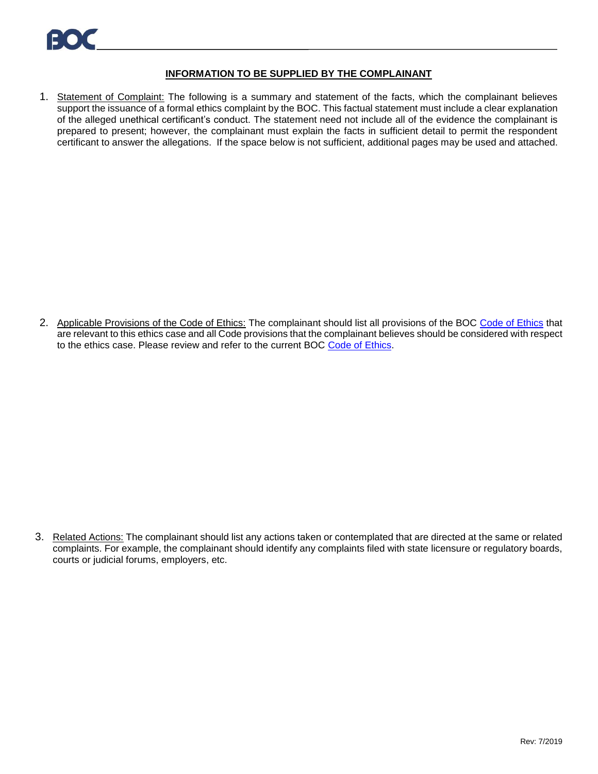## **INFORMATION TO BE SUPPLIED BY THE COMPLAINANT**

1. Statement of Complaint: The following is a summary and statement of the facts, which the complainant believes support the issuance of a formal ethics complaint by the BOC. This factual statement must include a clear explanation of the alleged unethical certificant's conduct. The statement need not include all of the evidence the complainant is prepared to present; however, the complainant must explain the facts in sufficient detail to permit the respondent certificant to answer the allegations. If the space below is not sufficient, additional pages may be used and attached.

2. Applicable Provisions of the [Code of Ethics](https://www.bocusa.org/document_categories/certification/): The complainant should list all provisions of the BOC Code of Ethics that are relevant to this ethics case and all Code provisions that the complainant believes should be considered with respect to the ethics case. Please review and refer to the current BOC Code [of Ethics.](https://www.bocusa.org/document_categories/certification/)

3. Related Actions: The complainant should list any actions taken or contemplated that are directed at the same or related complaints. For example, the complainant should identify any complaints filed with state licensure or regulatory boards, courts or judicial forums, employers, etc.